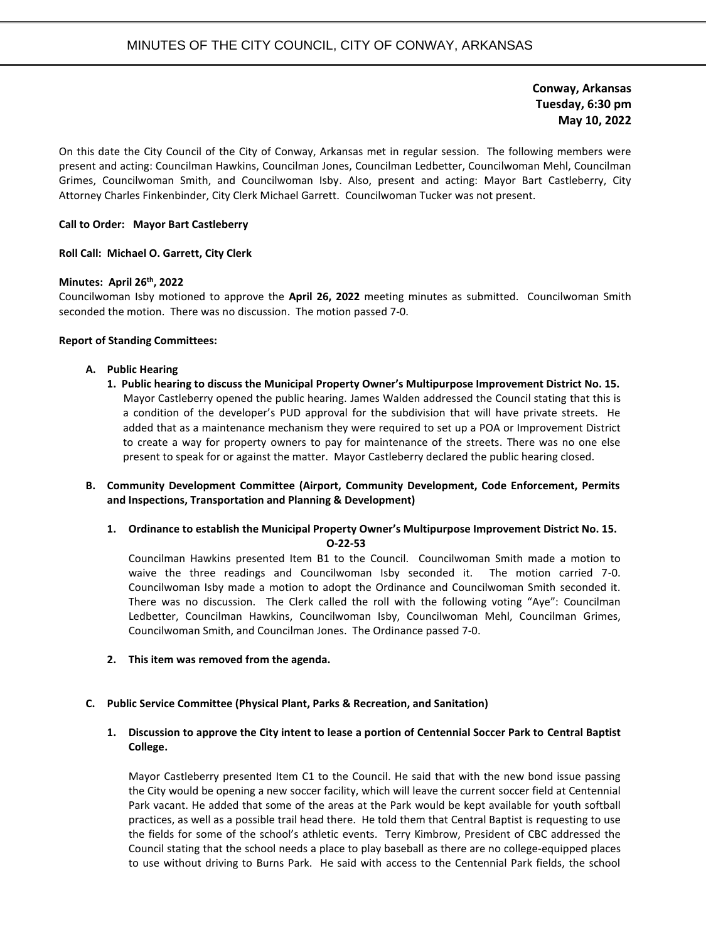**Conway, Arkansas Tuesday, 6:30 pm May 10, 2022**

On this date the City Council of the City of Conway, Arkansas met in regular session. The following members were present and acting: Councilman Hawkins, Councilman Jones, Councilman Ledbetter, Councilwoman Mehl, Councilman Grimes, Councilwoman Smith, and Councilwoman Isby. Also, present and acting: Mayor Bart Castleberry, City Attorney Charles Finkenbinder, City Clerk Michael Garrett. Councilwoman Tucker was not present.

## **Call to Order: Mayor Bart Castleberry**

#### **Roll Call: Michael O. Garrett, City Clerk**

### **Minutes: April 26th, 2022**

Councilwoman Isby motioned to approve the **April 26, 2022** meeting minutes as submitted. Councilwoman Smith seconded the motion. There was no discussion. The motion passed 7-0.

### **Report of Standing Committees:**

### **A. Public Hearing**

**1. Public hearing to discuss the Municipal Property Owner's Multipurpose Improvement District No. 15.** Mayor Castleberry opened the public hearing. James Walden addressed the Council stating that this is a condition of the developer's PUD approval for the subdivision that will have private streets. He added that as a maintenance mechanism they were required to set up a POA or Improvement District to create a way for property owners to pay for maintenance of the streets. There was no one else present to speak for or against the matter. Mayor Castleberry declared the public hearing closed.

# **B. Community Development Committee (Airport, Community Development, Code Enforcement, Permits and Inspections, Transportation and Planning & Development)**

**1. Ordinance to establish the Municipal Property Owner's Multipurpose Improvement District No. 15. O-22-53**

Councilman Hawkins presented Item B1 to the Council. Councilwoman Smith made a motion to waive the three readings and Councilwoman Isby seconded it. The motion carried 7-0. Councilwoman Isby made a motion to adopt the Ordinance and Councilwoman Smith seconded it. There was no discussion. The Clerk called the roll with the following voting "Aye": Councilman Ledbetter, Councilman Hawkins, Councilwoman Isby, Councilwoman Mehl, Councilman Grimes, Councilwoman Smith, and Councilman Jones. The Ordinance passed 7-0.

**2. This item was removed from the agenda.**

#### **C. Public Service Committee (Physical Plant, Parks & Recreation, and Sanitation)**

# **1. Discussion to approve the City intent to lease a portion of Centennial Soccer Park to Central Baptist College.**

Mayor Castleberry presented Item C1 to the Council. He said that with the new bond issue passing the City would be opening a new soccer facility, which will leave the current soccer field at Centennial Park vacant. He added that some of the areas at the Park would be kept available for youth softball practices, as well as a possible trail head there. He told them that Central Baptist is requesting to use the fields for some of the school's athletic events. Terry Kimbrow, President of CBC addressed the Council stating that the school needs a place to play baseball as there are no college-equipped places to use without driving to Burns Park. He said with access to the Centennial Park fields, the school